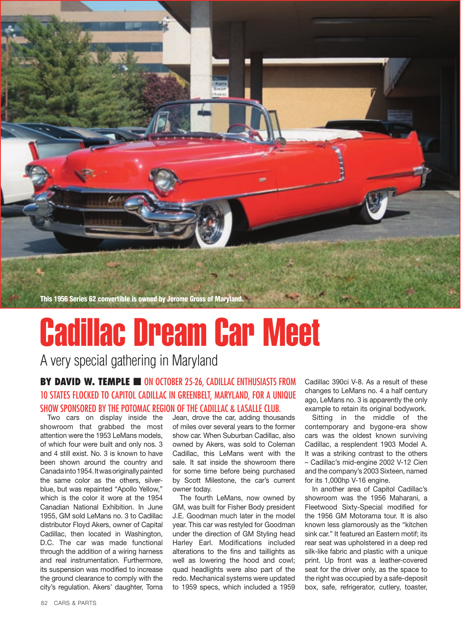

## Cadillac Dream Car Meet

A very special gathering in Maryland

## **BY DAVID W. TEMPLE <b>■** ON OCTOBER 25-26, CADILLAC ENTHUSIASTS FROM 10 states flocked to Capitol Cadillac in Greenbelt, Maryland, for a unique show sponsored by the Potomac Region of the Cadillac & LaSalle Club.

Two cars on display inside the showroom that grabbed the most attention were the 1953 LeMans models, of which four were built and only nos. 3 and 4 still exist. No. 3 is known to have been shown around the country and Canada into 1954. It was originally painted the same color as the others, silverblue, but was repainted "Apollo Yellow," which is the color it wore at the 1954 Canadian National Exhibition. In June 1955, GM sold LeMans no. 3 to Cadillac distributor Floyd Akers, owner of Capital Cadillac, then located in Washington, D.C. The car was made functional through the addition of a wiring harness and real instrumentation. Furthermore, its suspension was modified to increase the ground clearance to comply with the city's regulation. Akers' daughter, Toma Jean, drove the car, adding thousands of miles over several years to the former show car. When Suburban Cadillac, also owned by Akers, was sold to Coleman Cadillac, this LeMans went with the sale. It sat inside the showroom there for some time before being purchased by Scott Milestone, the car's current owner today.

The fourth LeMans, now owned by GM, was built for Fisher Body president J.E. Goodman much later in the model year. This car was restyled for Goodman under the direction of GM Styling head Harley Earl. Modifications included alterations to the fins and taillights as well as lowering the hood and cowl; quad headlights were also part of the redo. Mechanical systems were updated to 1959 specs, which included a 1959

Cadillac 390ci V-8. As a result of these changes to LeMans no. 4 a half century ago, LeMans no. 3 is apparently the only example to retain its original bodywork.

Sitting in the middle of the contemporary and bygone-era show cars was the oldest known surviving Cadillac, a resplendent 1903 Model A. It was a striking contrast to the others – Cadillac's mid-engine 2002 V-12 Cien and the company's 2003 Sixteen, named for its 1,000hp V-16 engine.

In another area of Capitol Cadillac's showroom was the 1956 Maharani, a Fleetwood Sixty-Special modified for the 1956 GM Motorama tour. It is also known less glamorously as the "kitchen sink car." It featured an Eastern motif; its rear seat was upholstered in a deep red silk-like fabric and plastic with a unique print. Up front was a leather-covered seat for the driver only, as the space to the right was occupied by a safe-deposit box, safe, refrigerator, cutlery, toaster,